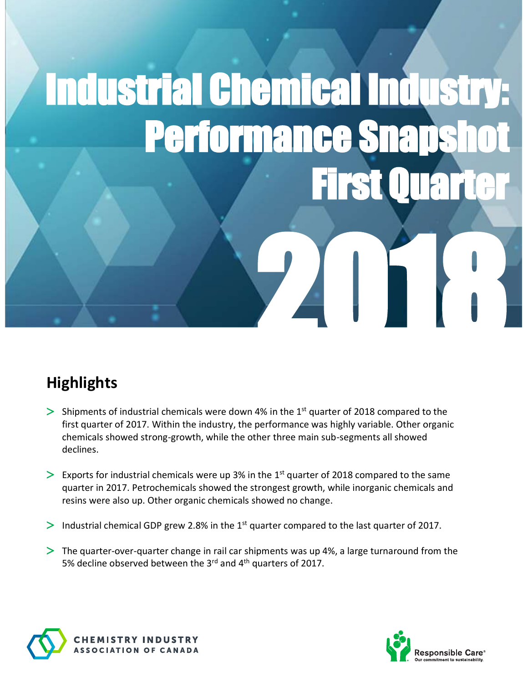# Industrial Chemical Industry: Performance Sna First Quarter 2018

## **Highlights**

- $>$  Shipments of industrial chemicals were down 4% in the 1<sup>st</sup> quarter of 2018 compared to the first quarter of 2017. Within the industry, the performance was highly variable. Other organic chemicals showed strong-growth, while the other three main sub-segments all showed declines.
- $\geq$  Exports for industrial chemicals were up 3% in the 1<sup>st</sup> quarter of 2018 compared to the same quarter in 2017. Petrochemicals showed the strongest growth, while inorganic chemicals and resins were also up. Other organic chemicals showed no change.
- Industrial chemical GDP grew 2.8% in the  $1<sup>st</sup>$  quarter compared to the last quarter of 2017.
- The quarter-over-quarter change in rail car shipments was up 4%, a large turnaround from the 5% decline observed between the 3rd and 4th quarters of 2017.



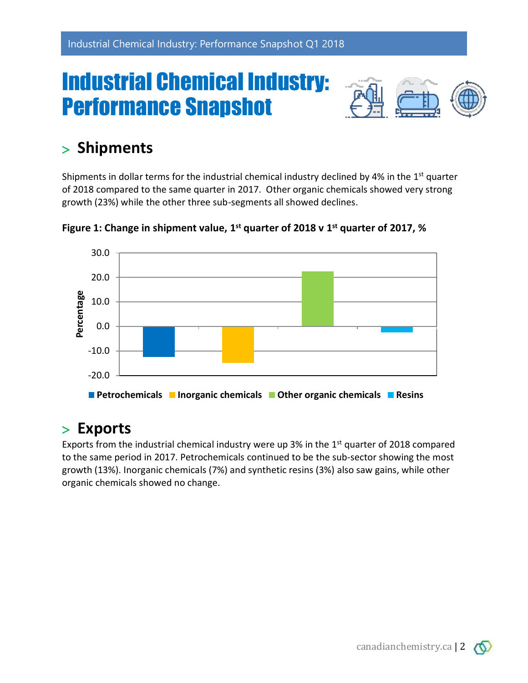## Industrial Chemical Industry: Performance Snapshot



## **Shipments**

Shipments in dollar terms for the industrial chemical industry declined by 4% in the  $1<sup>st</sup>$  quarter of 2018 compared to the same quarter in 2017. Other organic chemicals showed very strong growth (23%) while the other three sub-segments all showed declines.



**Figure 1: Change in shipment value, 1 st quarter of 2018 v 1 st quarter of 2017, %**

### **Exports**

Exports from the industrial chemical industry were up 3% in the  $1<sup>st</sup>$  quarter of 2018 compared to the same period in 2017. Petrochemicals continued to be the sub-sector showing the most growth (13%). Inorganic chemicals (7%) and synthetic resins (3%) also saw gains, while other organic chemicals showed no change.

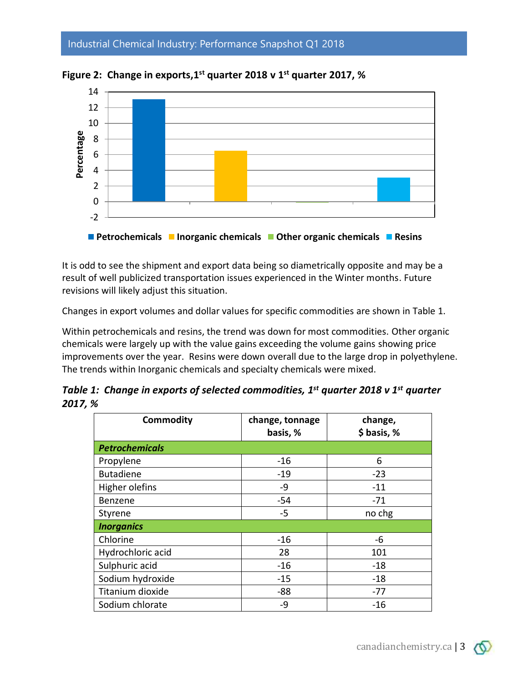#### Industrial Chemical Industry: Performance Snapshot Q1 2018



**Figure 2: Change in exports,1 st quarter 2018 v 1 st quarter 2017, %**

It is odd to see the shipment and export data being so diametrically opposite and may be a result of well publicized transportation issues experienced in the Winter months. Future revisions will likely adjust this situation.

Changes in export volumes and dollar values for specific commodities are shown in Table 1.

Within petrochemicals and resins, the trend was down for most commodities. Other organic chemicals were largely up with the value gains exceeding the volume gains showing price improvements over the year. Resins were down overall due to the large drop in polyethylene. The trends within Inorganic chemicals and specialty chemicals were mixed.

|         | Table 1: Change in exports of selected commodities, $1^{st}$ quarter 2018 v $1^{st}$ quarter |  |
|---------|----------------------------------------------------------------------------------------------|--|
| 2017, % |                                                                                              |  |

| <b>Commodity</b>      | change, tonnage<br>basis, % | change,<br>\$ basis, % |  |  |  |
|-----------------------|-----------------------------|------------------------|--|--|--|
| <b>Petrochemicals</b> |                             |                        |  |  |  |
| Propylene             | $-16$                       | 6                      |  |  |  |
| <b>Butadiene</b>      | $-19$                       | $-23$                  |  |  |  |
| Higher olefins        | -9                          | $-11$                  |  |  |  |
| Benzene               | $-54$                       | -71                    |  |  |  |
| Styrene               | $-5$                        | no chg                 |  |  |  |
| <b>Inorganics</b>     |                             |                        |  |  |  |
| Chlorine              | $-16$                       | -6                     |  |  |  |
| Hydrochloric acid     | 28                          | 101                    |  |  |  |
| Sulphuric acid        | $-16$                       | $-18$                  |  |  |  |
| Sodium hydroxide      | $-15$                       | $-18$                  |  |  |  |
| Titanium dioxide      | $-88$                       | $-77$                  |  |  |  |
| Sodium chlorate       | -9                          | $-16$                  |  |  |  |

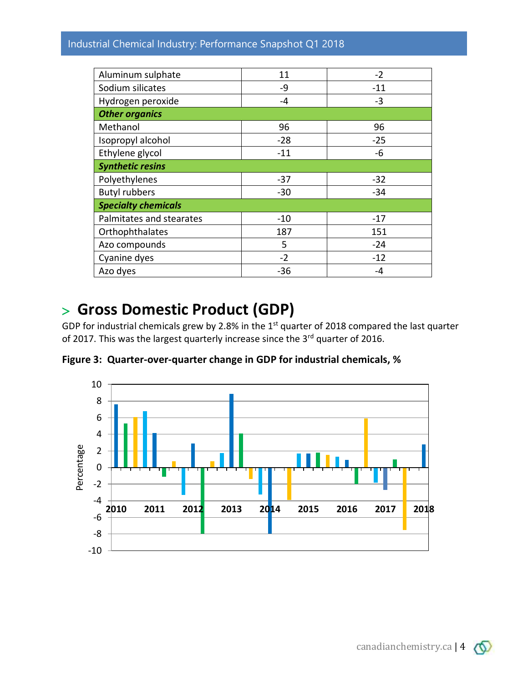#### Industrial Chemical Industry: Performance Snapshot Q1 2018

| Aluminum sulphate          | 11    | $-2$  |  |  |  |
|----------------------------|-------|-------|--|--|--|
| Sodium silicates           | -9    | $-11$ |  |  |  |
| Hydrogen peroxide          | $-4$  | -3    |  |  |  |
| <b>Other organics</b>      |       |       |  |  |  |
| Methanol                   | 96    | 96    |  |  |  |
| Isopropyl alcohol          | $-28$ | $-25$ |  |  |  |
| Ethylene glycol            | $-11$ | -6    |  |  |  |
| <b>Synthetic resins</b>    |       |       |  |  |  |
| Polyethylenes              | $-37$ | $-32$ |  |  |  |
| <b>Butyl rubbers</b>       | $-30$ | $-34$ |  |  |  |
| <b>Specialty chemicals</b> |       |       |  |  |  |
| Palmitates and stearates   | $-10$ | $-17$ |  |  |  |
| Orthophthalates            | 187   | 151   |  |  |  |
| Azo compounds              | 5     | $-24$ |  |  |  |
| Cyanine dyes               | $-2$  | $-12$ |  |  |  |
| Azo dyes                   | $-36$ | -4    |  |  |  |

## **Gross Domestic Product (GDP)**

GDP for industrial chemicals grew by 2.8% in the 1<sup>st</sup> quarter of 2018 compared the last quarter of 2017. This was the largest quarterly increase since the 3<sup>rd</sup> quarter of 2016.

**Figure 3: Quarter-over-quarter change in GDP for industrial chemicals, %**



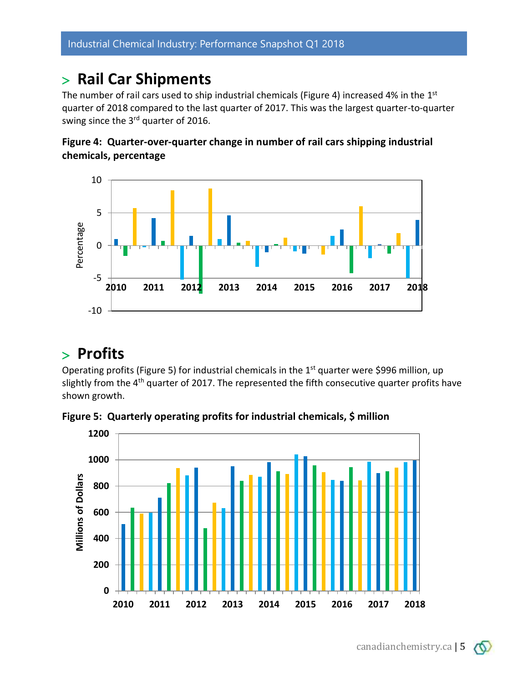### **Rail Car Shipments**

The number of rail cars used to ship industrial chemicals (Figure 4) increased 4% in the  $1<sup>st</sup>$ quarter of 2018 compared to the last quarter of 2017. This was the largest quarter-to-quarter swing since the 3<sup>rd</sup> quarter of 2016.





## **Profits**

Operating profits (Figure 5) for industrial chemicals in the 1<sup>st</sup> quarter were \$996 million, up slightly from the 4<sup>th</sup> quarter of 2017. The represented the fifth consecutive quarter profits have shown growth.

**Figure 5: Quarterly operating profits for industrial chemicals, \$ million**